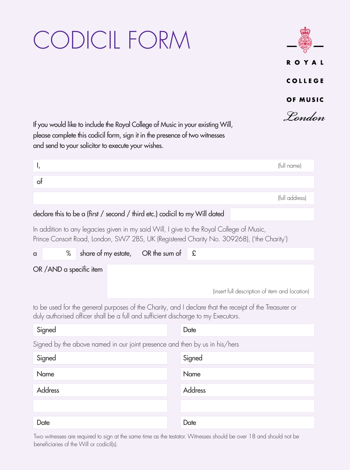## CODICIL FORM



If you would like to include the Royal College of Music in your existing Will, please complete this codicil form, sign it in the presence of two witnesses and send to your solicitor to execute your wishes.

|    | (full name)    |
|----|----------------|
| ot |                |
|    | (full address) |

## declare this to be a (first / second / third etc.) codicil to my Will dated

In addition to any legacies given in my said Will, I give to the Royal College of Music, Prince Consort Road, London, SW7 2BS, UK (Registered Charity No. 309268), ('the Charity')

| a                        | % |  | share of my estate, OR the sum of $\mathcal{L}$ |                                                |
|--------------------------|---|--|-------------------------------------------------|------------------------------------------------|
| OR / AND a specific item |   |  |                                                 |                                                |
|                          |   |  |                                                 | (insert full description of item and location) |

to be used for the general purposes of the Charity, and I declare that the receipt of the Treasurer or duly authorised officer shall be a full and sufficient discharge to my Executors.

| Signed                                                                     | Date    |  |  |  |  |  |  |
|----------------------------------------------------------------------------|---------|--|--|--|--|--|--|
| Signed by the above named in our joint presence and then by us in his/hers |         |  |  |  |  |  |  |
| Signed                                                                     | Signed  |  |  |  |  |  |  |
| Name                                                                       | Name    |  |  |  |  |  |  |
| <b>Address</b>                                                             | Address |  |  |  |  |  |  |
|                                                                            |         |  |  |  |  |  |  |
| Date                                                                       | Date    |  |  |  |  |  |  |

Two witnesses are required to sign at the same time as the testator. Witnesses should be over 18 and should not be beneficiaries of the Will or codicil(s).